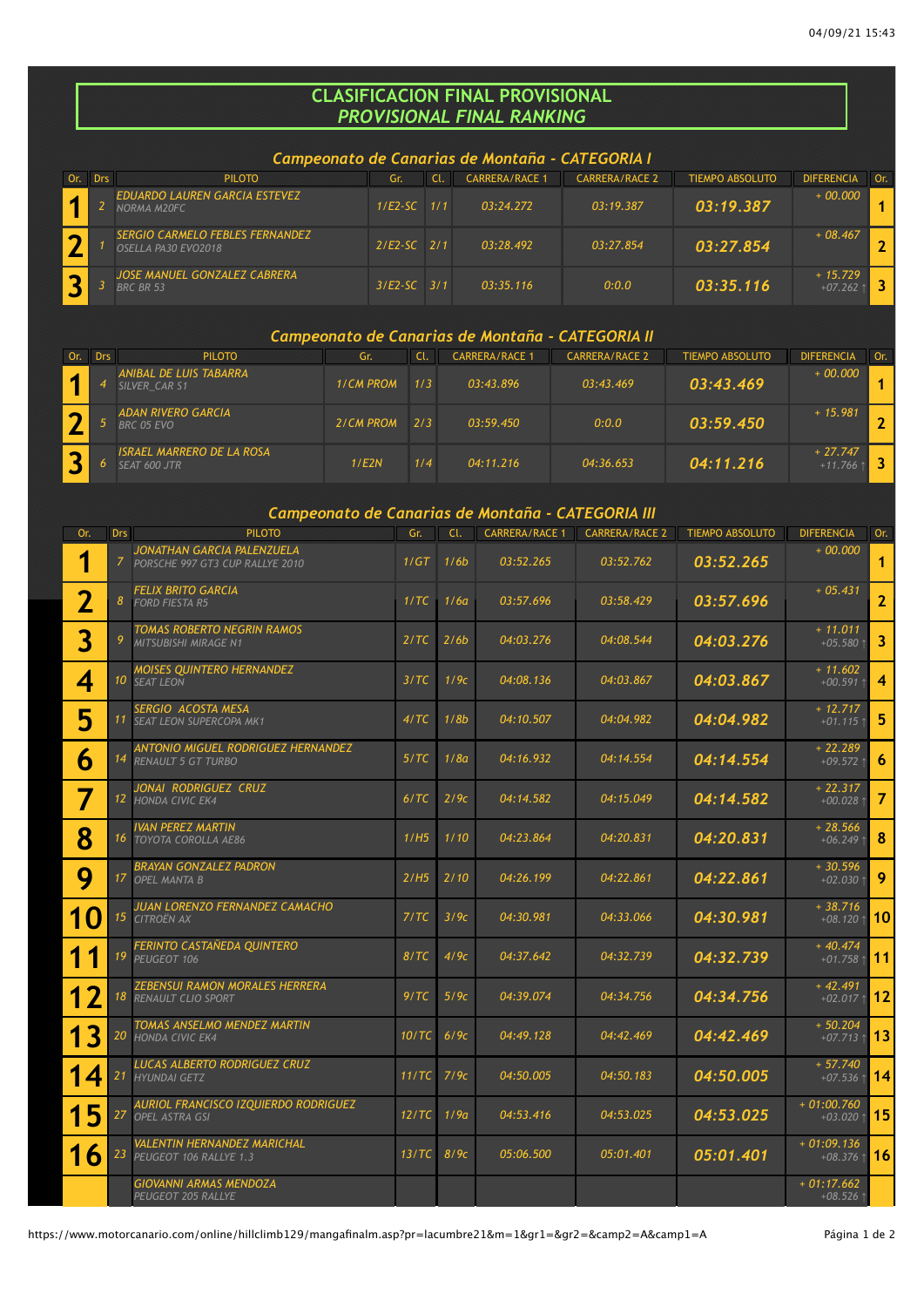## **CLASIFICACION FINAL PROVISIONAL** *PROVISIONAL FINAL RANKING*

## *Campeonato de Canarias de Montaña - CATEGORIA I*

|  | <b>PILOTO</b>                                                 | Gr.             | <b>CARRERA/RACE 1</b> | <b>CARRERA/RACE 2</b> | TIEMPO ABSOLUTO | <b>DIFERENCIA</b>      | Or. |
|--|---------------------------------------------------------------|-----------------|-----------------------|-----------------------|-----------------|------------------------|-----|
|  | <b>EDUARDO LAUREN GARCIA ESTEVEZ</b><br>NORMA M20FC           | $1/E2-SC$ $1/1$ | 03:24.272             | 03:19.387             | 03:19.387       | $+00.000$              |     |
|  | <b>SERGIO CARMELO FEBLES FERNANDEZ</b><br>OSELLA PA30 EVO2018 | $2/E2-SC$ $2/1$ | 03:28.492             | 03:27.854             | 03:27.854       | $+08.467$              |     |
|  | <b>JOSE MANUEL GONZALEZ CABRERA</b><br><b>BRC BR 53</b>       | $3/E2-SC$ $3/1$ | 03:35.116             | 0:0.0                 | 03:35.116       | $+15.729$<br>$+07.262$ |     |

## *Campeonato de Canarias de Montaña - CATEGORIA II*

|  | <b>PILOTO</b>                                    | Gr.              | Cl.           | <b>CARRERA/RACE 1</b> | <b>CARRERA/RACE 2</b> | <b>TIEMPO ABSOLUTO</b> | <b>DIFERENCIA</b>      | Or. |
|--|--------------------------------------------------|------------------|---------------|-----------------------|-----------------------|------------------------|------------------------|-----|
|  | ANIBAL DE LUIS TABARRA<br>SILVER CAR S1          | <b>1/CM PROM</b> | 1/3           | 03:43.896             | 03:43.469             | 03:43.469              | $+00.000$              |     |
|  | ADAN RIVERO GARCIA<br>BRC 05 EVO                 | 2/CM PROM        | $\frac{2}{3}$ | 03:59.450             | 0:0.0                 | 03:59.450              | $+15.981$              |     |
|  | <b>ISRAEL MARRERO DE LA ROSA</b><br>SEAT 600 JTR | 1/E2N            | 1/4           | 04:11.216             | 04:36.653             | 04:11.216              | $+27.747$<br>$+11.766$ |     |

## *Campeonato de Canarias de Montaña - CATEGORIA III*

|             | <u> Campeonato de Canarias de Montana - CATEGORIA III</u> |                                                                       |       |      |                       |                       |                 |                                 |                         |  |  |
|-------------|-----------------------------------------------------------|-----------------------------------------------------------------------|-------|------|-----------------------|-----------------------|-----------------|---------------------------------|-------------------------|--|--|
| Or.         | <b>Drs</b>                                                | <b>PILOTO</b>                                                         | Gr.   | CL   | <b>CARRERA/RACE 1</b> | <b>CARRERA/RACE 2</b> | TIEMPO ABSOLUTO | <b>DIFERENCIA</b>               | Or.                     |  |  |
| ♦           | 7.                                                        | JONATHAN GARCIA PALENZUELA<br>PORSCHE 997 GT3 CUP RALLYE 2010         | 1/GT  | 1/6b | 03:52.265             | 03:52.762             | 03:52.265       | $+00.000$                       | 1                       |  |  |
| $\mathbf 2$ | 8 <sup>°</sup>                                            | <b>FELIX BRITO GARCIA</b><br><b>FORD FIESTA R5</b>                    | 1/TC  | 1/6a | 03:57.696             | 03:58.429             | 03:57.696       | $+05.431$                       | $\mathbf{z}$            |  |  |
| 3           | 9                                                         | TOMAS ROBERTO NEGRIN RAMOS<br>MITSUBISHI MIRAGE N1                    | 2/TC  | 2/6b | 04:03.276             | 04:08.544             | 04:03.276       | $+ 11.011$<br>$+05.580$ 1       | 3                       |  |  |
| 4           |                                                           | <b>MOISES QUINTERO HERNANDEZ</b><br>10 SEAT LEON                      | 3/TC  | 1/9c | 04:08.136             | 04:03.867             | 04:03.867       | $+ 11.602$<br>$+00.591$ 1       | $\overline{\mathbf{4}}$ |  |  |
| 5           |                                                           | SERGIO ACOSTA MESA<br>11 SEAT LEON SUPERCOPA MK1                      | 4/TC  | 1/8b | 04:10.507             | 04:04.982             | 04:04.982       | $+ 12.717$<br>$+01.115$ 1       | 5                       |  |  |
| 6           |                                                           | ANTONIO MIGUEL RODRIGUEZ HERNANDEZ<br>14 RENAULT 5 GT TURBO           | 5/TC  | 1/8a | 04:16.932             | 04:14.554             | 04:14.554       | $+22.289$<br>$+09.572$ 1        | 6                       |  |  |
| 7           |                                                           | JONAI RODRIGUEZ CRUZ<br>12 HONDA CIVIC EK4                            | 6/TC  | 2/9c | 04:14.582             | 04:15.049             | 04:14.582       | $+22.317$<br>$+00.028$ 1        | $\overline{7}$          |  |  |
| 8           |                                                           | IVAN PEREZ MARTIN<br>16 TOYOTA COROLLA AE86                           | 1/H5  | 1/10 | 04:23.864             | 04:20.831             | 04:20.831       | $+28.566$<br>$+06.249$ ↑        | 8                       |  |  |
| 9           |                                                           | BRAYAN GONZALEZ PADRON<br>17 OPEL MANTA B                             | 2/H5  | 2/10 | 04:26.199             | 04:22.861             | 04:22.861       | $+30.596$<br>$+02.030$ 1        | 9                       |  |  |
| <b>10</b>   |                                                           | JUAN LORENZO FERNANDEZ CAMACHO<br>15 CITROËN AX                       | 7/TC  | 3/9c | 04:30.981             | 04:33.066             | 04:30.981       | $+38.716$<br>+08.120 $\uparrow$ | 10                      |  |  |
| 1<br>1      |                                                           | FERINTO CASTAÑEDA QUINTERO<br>19 PEUGEOT 106                          | 8/TC  | 4/9c | 04:37.642             | 04:32.739             | 04:32.739       | $+40.474$<br>$+01.758$ 1        | 11                      |  |  |
| 12          |                                                           | <b>ZEBENSUI RAMON MORALES HERRERA</b><br><b>18 RENAULT CLIO SPORT</b> | 9/TC  | 5/9c | 04:39.074             | 04:34.756             | 04:34.756       | $+42.491$<br>+02.017 $\uparrow$ | 12                      |  |  |
| 13          |                                                           | TOMAS ANSELMO MENDEZ MARTIN<br>20 HONDA CIVIC EK4                     | 10/TC | 6/9c | 04:49.128             | 04:42.469             | 04:42.469       | $+50.204$<br>$+07.713$ 1        | 13                      |  |  |
| 14          | 21                                                        | LUCAS ALBERTO RODRIGUEZ CRUZ<br><b>HYUNDAI GETZ</b>                   | 11/TC | 7/9c | 04:50.005             | 04:50.183             | 04:50.005       | $+ 57.740$<br>$+07.536$ ↑       | 14                      |  |  |
| 15          | 27                                                        | <b>AURIOL FRANCISCO IZQUIERDO RODRIGUEZ</b><br><b>OPEL ASTRA GSI</b>  | 12/TC | 1/9a | 04:53.416             | 04:53.025             | 04:53.025       | $+01:00.760$<br>$+03.020$ 1     | 15                      |  |  |
| 16          | 23                                                        | VALENTIN HERNANDEZ MARICHAL<br>PEUGEOT 106 RALLYE 1.3                 | 13/TC | 8/9c | 05:06.500             | 05:01.401             | 05:01.401       | $+01:09.136$<br>$+08.376$ ↑     | 16                      |  |  |
|             |                                                           | <b>GIOVANNI ARMAS MENDOZA</b><br>PEUGEOT 205 RALLYE                   |       |      |                       |                       |                 | $+01:17.662$<br>$+08.526$ ↑     |                         |  |  |

https://www.motorcanario.com/online/hillclimb129/mangafinalm.asp?pr=lacumbre21&m=1&gr1=&gr2=&camp2=A&camp1=A Página 1 de 2